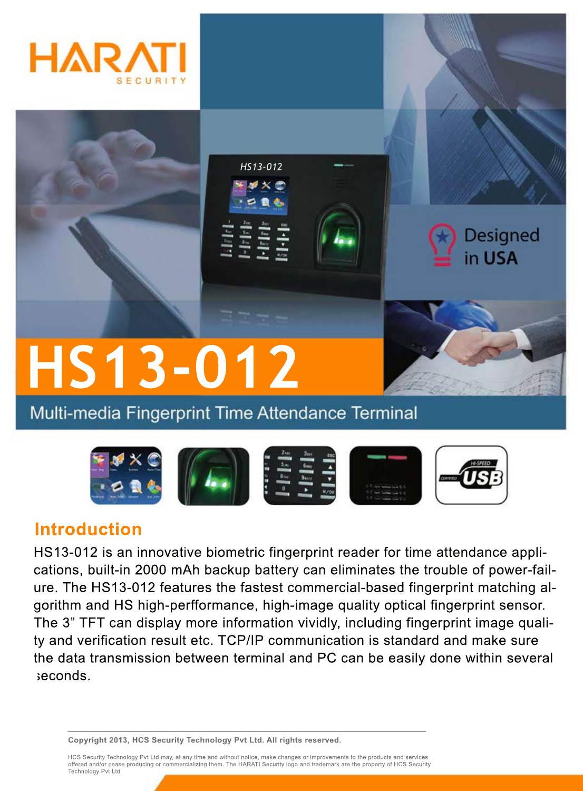



Multi-media Fingerprint Time Attendance Terminal



## **Introduction**

HS13-012 is an innovative biometric fingerprint reader for time attendance applications, built-in 2000 mAh backup battery can eliminates the trouble of power-failure. The HS13-012 features the fastest commercial-based fingerprint matching algorithm and HS high-perfformance, high-image quality optical fingerprint sensor. The 3" TFT can display more information vividly, including fingerprint image quality and verification result etc. TCP/IP communication is standard and make sure the data transmission between terminal and PC can be easily done within several seconds.

**Copyright 2013, HCS Security Technology Pvt Ltd. All rights reserved.**

HCS Security Technology Pvt Ltd may, at any time and without notice, make changes or improvements to the products and services offered and/or cease producing or commercializing them. The HARATI Security logo and trademark are the property of HCS Security Technology Pvt Ltd